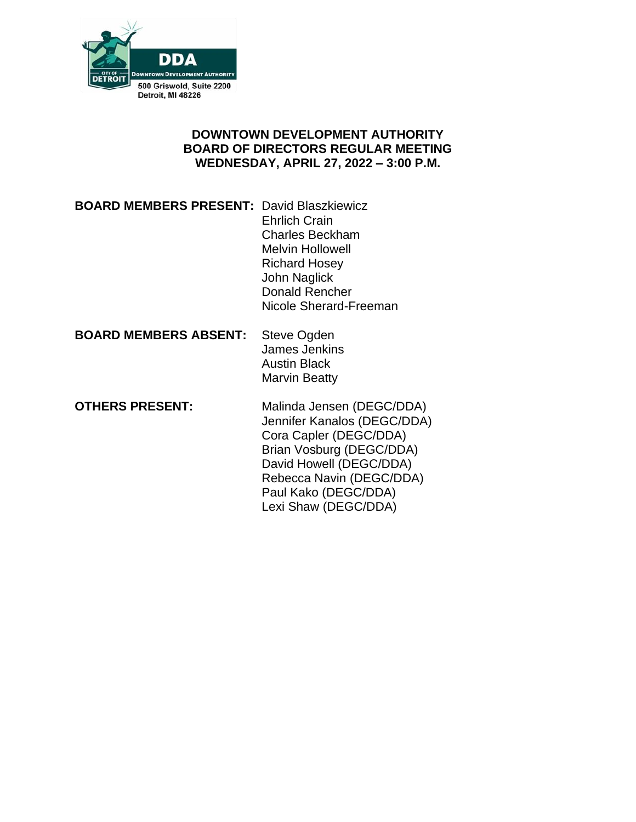

# **DOWNTOWN DEVELOPMENT AUTHORITY BOARD OF DIRECTORS REGULAR MEETING WEDNESDAY, APRIL 27, 2022 – 3:00 P.M.**

## **BOARD MEMBERS PRESENT:** David Blaszkiewicz Ehrlich Crain Charles Beckham Melvin Hollowell Richard Hosey John Naglick Donald Rencher Nicole Sherard-Freeman

**Steve Ogden** James Jenkins Austin Black Marvin Beatty

**OTHERS PRESENT:** Malinda Jensen (DEGC/DDA) Jennifer Kanalos (DEGC/DDA) Cora Capler (DEGC/DDA) Brian Vosburg (DEGC/DDA) David Howell (DEGC/DDA) Rebecca Navin (DEGC/DDA) Paul Kako (DEGC/DDA) Lexi Shaw (DEGC/DDA)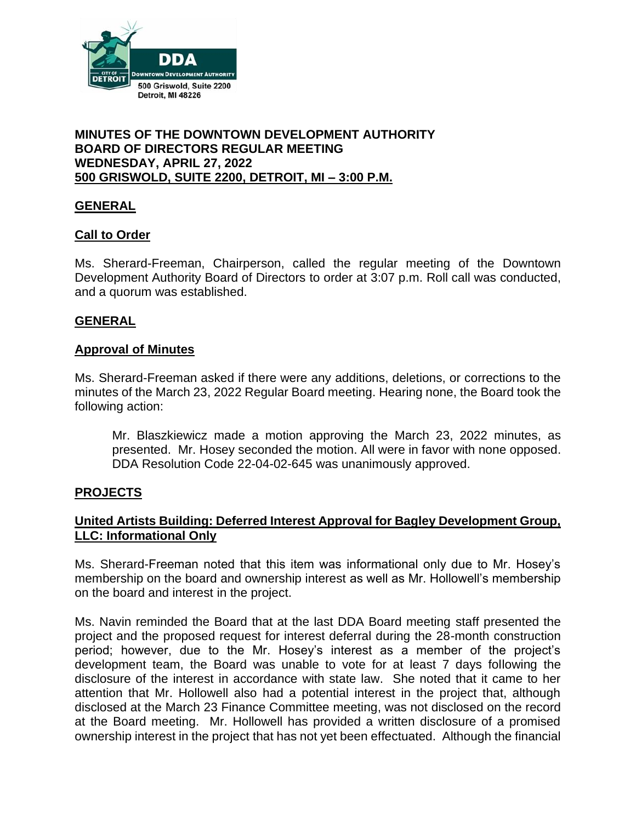

#### **MINUTES OF THE DOWNTOWN DEVELOPMENT AUTHORITY BOARD OF DIRECTORS REGULAR MEETING WEDNESDAY, APRIL 27, 2022 500 GRISWOLD, SUITE 2200, DETROIT, MI – 3:00 P.M.**

# **GENERAL**

### **Call to Order**

Ms. Sherard-Freeman, Chairperson, called the regular meeting of the Downtown Development Authority Board of Directors to order at 3:07 p.m. Roll call was conducted, and a quorum was established.

### **GENERAL**

#### **Approval of Minutes**

Ms. Sherard-Freeman asked if there were any additions, deletions, or corrections to the minutes of the March 23, 2022 Regular Board meeting. Hearing none, the Board took the following action:

Mr. Blaszkiewicz made a motion approving the March 23, 2022 minutes, as presented. Mr. Hosey seconded the motion. All were in favor with none opposed. DDA Resolution Code 22-04-02-645 was unanimously approved.

### **PROJECTS**

# **United Artists Building: Deferred Interest Approval for Bagley Development Group, LLC: Informational Only**

Ms. Sherard-Freeman noted that this item was informational only due to Mr. Hosey's membership on the board and ownership interest as well as Mr. Hollowell's membership on the board and interest in the project.

Ms. Navin reminded the Board that at the last DDA Board meeting staff presented the project and the proposed request for interest deferral during the 28-month construction period; however, due to the Mr. Hosey's interest as a member of the project's development team, the Board was unable to vote for at least 7 days following the disclosure of the interest in accordance with state law. She noted that it came to her attention that Mr. Hollowell also had a potential interest in the project that, although disclosed at the March 23 Finance Committee meeting, was not disclosed on the record at the Board meeting. Mr. Hollowell has provided a written disclosure of a promised ownership interest in the project that has not yet been effectuated. Although the financial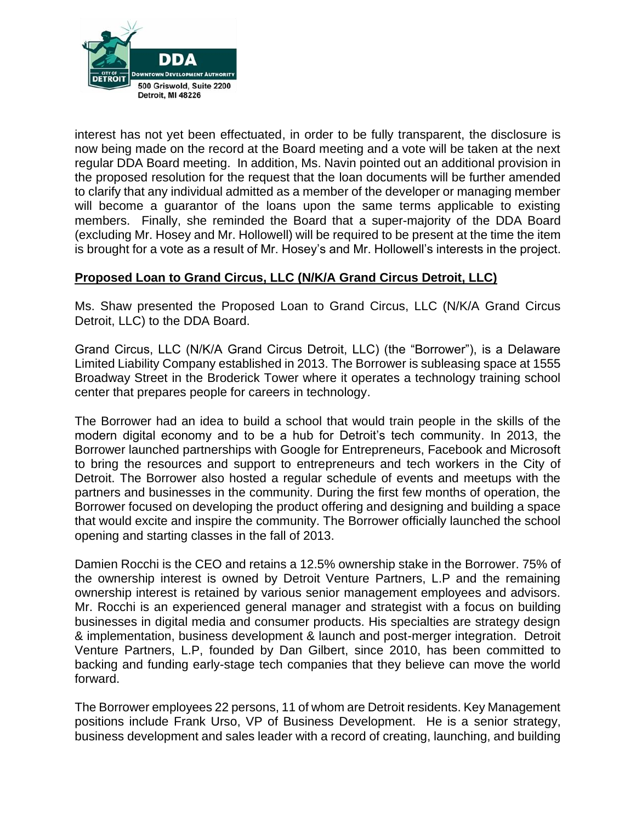

interest has not yet been effectuated, in order to be fully transparent, the disclosure is now being made on the record at the Board meeting and a vote will be taken at the next regular DDA Board meeting. In addition, Ms. Navin pointed out an additional provision in the proposed resolution for the request that the loan documents will be further amended to clarify that any individual admitted as a member of the developer or managing member will become a guarantor of the loans upon the same terms applicable to existing members. Finally, she reminded the Board that a super-majority of the DDA Board (excluding Mr. Hosey and Mr. Hollowell) will be required to be present at the time the item is brought for a vote as a result of Mr. Hosey's and Mr. Hollowell's interests in the project.

# **Proposed Loan to Grand Circus, LLC (N/K/A Grand Circus Detroit, LLC)**

Ms. Shaw presented the Proposed Loan to Grand Circus, LLC (N/K/A Grand Circus Detroit, LLC) to the DDA Board.

Grand Circus, LLC (N/K/A Grand Circus Detroit, LLC) (the "Borrower"), is a Delaware Limited Liability Company established in 2013. The Borrower is subleasing space at 1555 Broadway Street in the Broderick Tower where it operates a technology training school center that prepares people for careers in technology.

The Borrower had an idea to build a school that would train people in the skills of the modern digital economy and to be a hub for Detroit's tech community. In 2013, the Borrower launched partnerships with Google for Entrepreneurs, Facebook and Microsoft to bring the resources and support to entrepreneurs and tech workers in the City of Detroit. The Borrower also hosted a regular schedule of events and meetups with the partners and businesses in the community. During the first few months of operation, the Borrower focused on developing the product offering and designing and building a space that would excite and inspire the community. The Borrower officially launched the school opening and starting classes in the fall of 2013.

Damien Rocchi is the CEO and retains a 12.5% ownership stake in the Borrower. 75% of the ownership interest is owned by Detroit Venture Partners, L.P and the remaining ownership interest is retained by various senior management employees and advisors. Mr. Rocchi is an experienced general manager and strategist with a focus on building businesses in digital media and consumer products. His specialties are strategy design & implementation, business development & launch and post-merger integration. Detroit Venture Partners, L.P, founded by Dan Gilbert, since 2010, has been committed to backing and funding early-stage tech companies that they believe can move the world forward.

The Borrower employees 22 persons, 11 of whom are Detroit residents. Key Management positions include Frank Urso, VP of Business Development. He is a senior strategy, business development and sales leader with a record of creating, launching, and building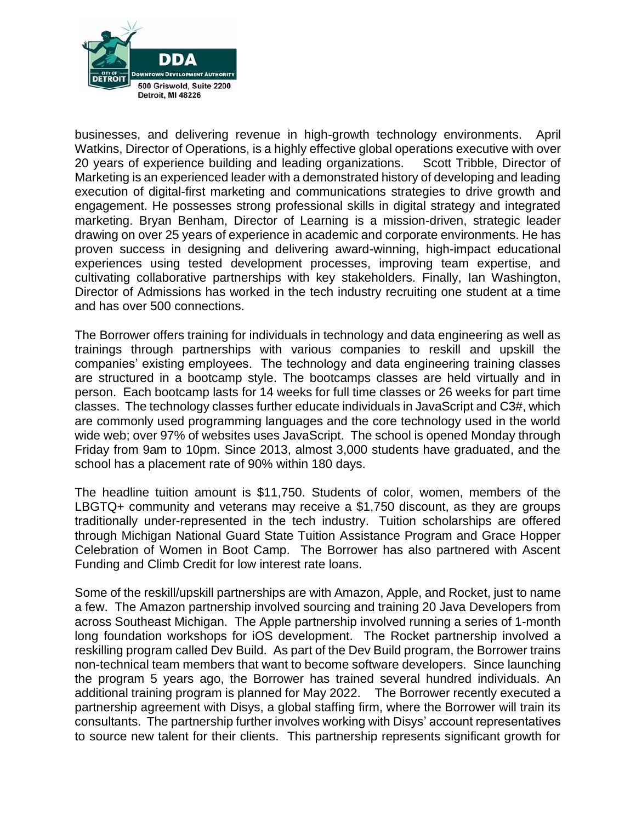

businesses, and delivering revenue in high-growth technology environments. April Watkins, Director of Operations, is a highly effective global operations executive with over 20 years of experience building and leading organizations. Scott Tribble, Director of Marketing is an experienced leader with a demonstrated history of developing and leading execution of digital-first marketing and communications strategies to drive growth and engagement. He possesses strong professional skills in digital strategy and integrated marketing. Bryan Benham, Director of Learning is a mission-driven, strategic leader drawing on over 25 years of experience in academic and corporate environments. He has proven success in designing and delivering award-winning, high-impact educational experiences using tested development processes, improving team expertise, and cultivating collaborative partnerships with key stakeholders. Finally, Ian Washington, Director of Admissions has worked in the tech industry recruiting one student at a time and has over 500 connections.

The Borrower offers training for individuals in technology and data engineering as well as trainings through partnerships with various companies to reskill and upskill the companies' existing employees. The technology and data engineering training classes are structured in a bootcamp style. The bootcamps classes are held virtually and in person. Each bootcamp lasts for 14 weeks for full time classes or 26 weeks for part time classes. The technology classes further educate individuals in JavaScript and C3#, which are commonly used programming languages and the core technology used in the world wide web; over 97% of websites uses JavaScript. The school is opened Monday through Friday from 9am to 10pm. Since 2013, almost 3,000 students have graduated, and the school has a placement rate of 90% within 180 days.

The headline tuition amount is \$11,750. Students of color, women, members of the LBGTQ+ community and veterans may receive a \$1,750 discount, as they are groups traditionally under-represented in the tech industry. Tuition scholarships are offered through Michigan National Guard State Tuition Assistance Program and Grace Hopper Celebration of Women in Boot Camp. The Borrower has also partnered with Ascent Funding and Climb Credit for low interest rate loans.

Some of the reskill/upskill partnerships are with Amazon, Apple, and Rocket, just to name a few. The Amazon partnership involved sourcing and training 20 Java Developers from across Southeast Michigan. The Apple partnership involved running a series of 1-month long foundation workshops for iOS development. The Rocket partnership involved a reskilling program called Dev Build. As part of the Dev Build program, the Borrower trains non-technical team members that want to become software developers. Since launching the program 5 years ago, the Borrower has trained several hundred individuals. An additional training program is planned for May 2022. The Borrower recently executed a partnership agreement with Disys, a global staffing firm, where the Borrower will train its consultants. The partnership further involves working with Disys' account representatives to source new talent for their clients. This partnership represents significant growth for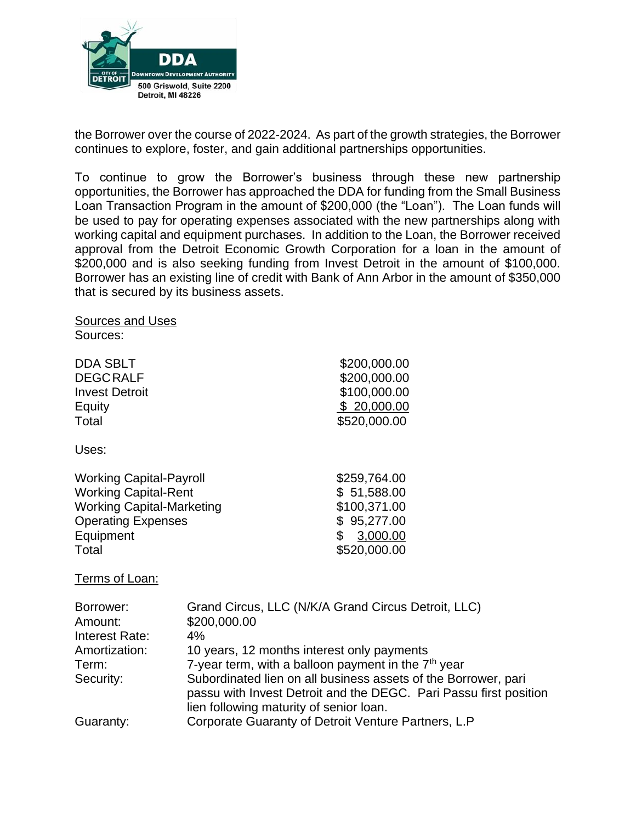

the Borrower over the course of 2022-2024. As part of the growth strategies, the Borrower continues to explore, foster, and gain additional partnerships opportunities.

To continue to grow the Borrower's business through these new partnership opportunities, the Borrower has approached the DDA for funding from the Small Business Loan Transaction Program in the amount of \$200,000 (the "Loan"). The Loan funds will be used to pay for operating expenses associated with the new partnerships along with working capital and equipment purchases. In addition to the Loan, the Borrower received approval from the Detroit Economic Growth Corporation for a loan in the amount of \$200,000 and is also seeking funding from Invest Detroit in the amount of \$100,000. Borrower has an existing line of credit with Bank of Ann Arbor in the amount of \$350,000 that is secured by its business assets.

Sources: DDA SBLT \$200,000.00 DEGCRALF \$200,000.00 **Invest Detroit** 6100,000.00 Equity \$ 20,000.00 Total \$520,000.00 Uses: Working Capital-Payroll \$259,764.00 Working Capital-Rent  $$51,588.00$ Working Capital-Marketing  $$100,371.00$ Operating Expenses  $$95,277.00$ Equipment \$ 3,000.00 Total \$520,000.00

Terms of Loan:

Sources and Uses

| Borrower:      | Grand Circus, LLC (N/K/A Grand Circus Detroit, LLC)               |
|----------------|-------------------------------------------------------------------|
| Amount:        | \$200,000.00                                                      |
| Interest Rate: | $4\%$                                                             |
| Amortization:  | 10 years, 12 months interest only payments                        |
| Term:          | 7-year term, with a balloon payment in the 7 <sup>th</sup> year   |
| Security:      | Subordinated lien on all business assets of the Borrower, pari    |
|                | passu with Invest Detroit and the DEGC. Pari Passu first position |
|                | lien following maturity of senior loan.                           |
| Guaranty:      | Corporate Guaranty of Detroit Venture Partners, L.P               |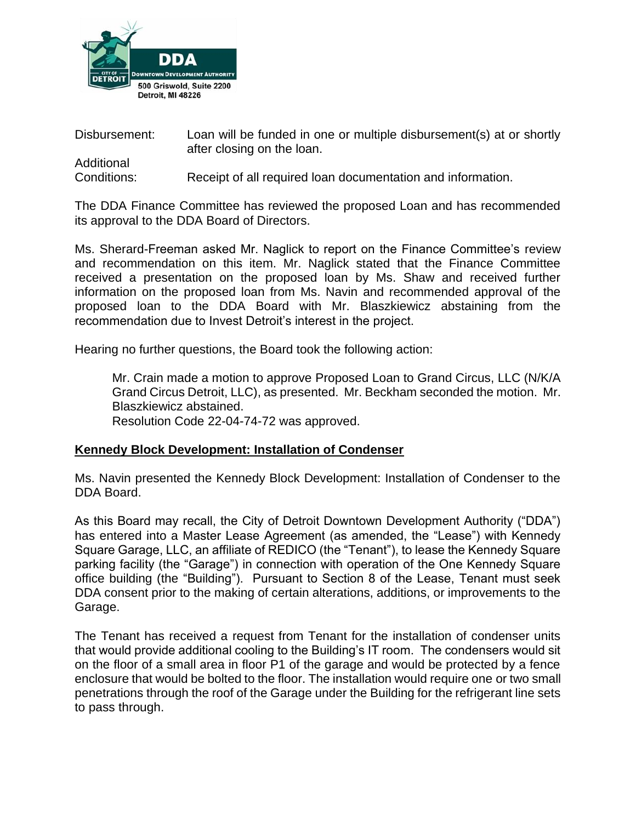

Disbursement: Loan will be funded in one or multiple disbursement(s) at or shortly after closing on the loan. Additional

Conditions: Receipt of all required loan documentation and information.

The DDA Finance Committee has reviewed the proposed Loan and has recommended its approval to the DDA Board of Directors.

Ms. Sherard-Freeman asked Mr. Naglick to report on the Finance Committee's review and recommendation on this item. Mr. Naglick stated that the Finance Committee received a presentation on the proposed loan by Ms. Shaw and received further information on the proposed loan from Ms. Navin and recommended approval of the proposed loan to the DDA Board with Mr. Blaszkiewicz abstaining from the recommendation due to Invest Detroit's interest in the project.

Hearing no further questions, the Board took the following action:

Mr. Crain made a motion to approve Proposed Loan to Grand Circus, LLC (N/K/A Grand Circus Detroit, LLC), as presented. Mr. Beckham seconded the motion. Mr. Blaszkiewicz abstained. Resolution Code 22-04-74-72 was approved.

### **Kennedy Block Development: Installation of Condenser**

Ms. Navin presented the Kennedy Block Development: Installation of Condenser to the DDA Board.

As this Board may recall, the City of Detroit Downtown Development Authority ("DDA") has entered into a Master Lease Agreement (as amended, the "Lease") with Kennedy Square Garage, LLC, an affiliate of REDICO (the "Tenant"), to lease the Kennedy Square parking facility (the "Garage") in connection with operation of the One Kennedy Square office building (the "Building"). Pursuant to Section 8 of the Lease, Tenant must seek DDA consent prior to the making of certain alterations, additions, or improvements to the Garage.

The Tenant has received a request from Tenant for the installation of condenser units that would provide additional cooling to the Building's IT room. The condensers would sit on the floor of a small area in floor P1 of the garage and would be protected by a fence enclosure that would be bolted to the floor. The installation would require one or two small penetrations through the roof of the Garage under the Building for the refrigerant line sets to pass through.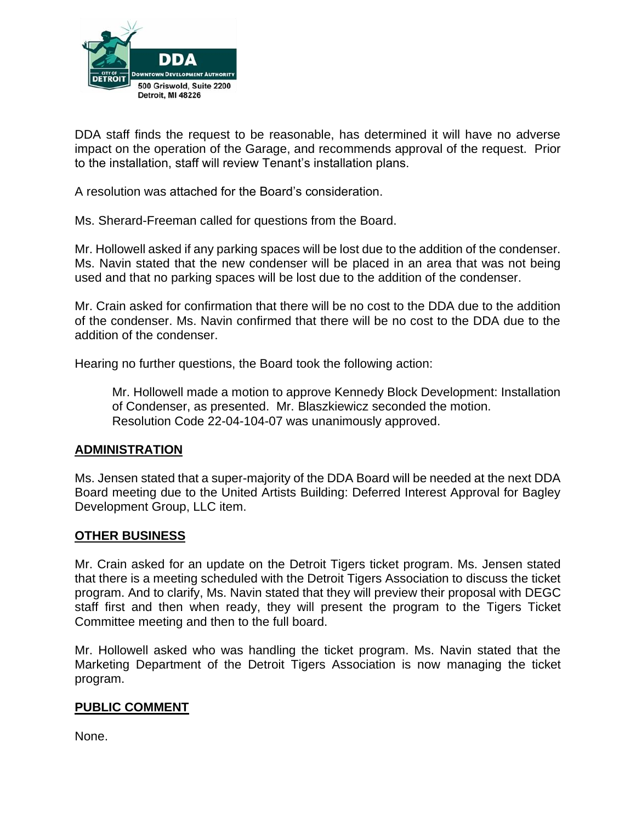

DDA staff finds the request to be reasonable, has determined it will have no adverse impact on the operation of the Garage, and recommends approval of the request. Prior to the installation, staff will review Tenant's installation plans.

A resolution was attached for the Board's consideration.

Ms. Sherard-Freeman called for questions from the Board.

Mr. Hollowell asked if any parking spaces will be lost due to the addition of the condenser. Ms. Navin stated that the new condenser will be placed in an area that was not being used and that no parking spaces will be lost due to the addition of the condenser.

Mr. Crain asked for confirmation that there will be no cost to the DDA due to the addition of the condenser. Ms. Navin confirmed that there will be no cost to the DDA due to the addition of the condenser.

Hearing no further questions, the Board took the following action:

Mr. Hollowell made a motion to approve Kennedy Block Development: Installation of Condenser, as presented. Mr. Blaszkiewicz seconded the motion. Resolution Code 22-04-104-07 was unanimously approved.

### **ADMINISTRATION**

Ms. Jensen stated that a super-majority of the DDA Board will be needed at the next DDA Board meeting due to the United Artists Building: Deferred Interest Approval for Bagley Development Group, LLC item.

### **OTHER BUSINESS**

Mr. Crain asked for an update on the Detroit Tigers ticket program. Ms. Jensen stated that there is a meeting scheduled with the Detroit Tigers Association to discuss the ticket program. And to clarify, Ms. Navin stated that they will preview their proposal with DEGC staff first and then when ready, they will present the program to the Tigers Ticket Committee meeting and then to the full board.

Mr. Hollowell asked who was handling the ticket program. Ms. Navin stated that the Marketing Department of the Detroit Tigers Association is now managing the ticket program.

#### **PUBLIC COMMENT**

None.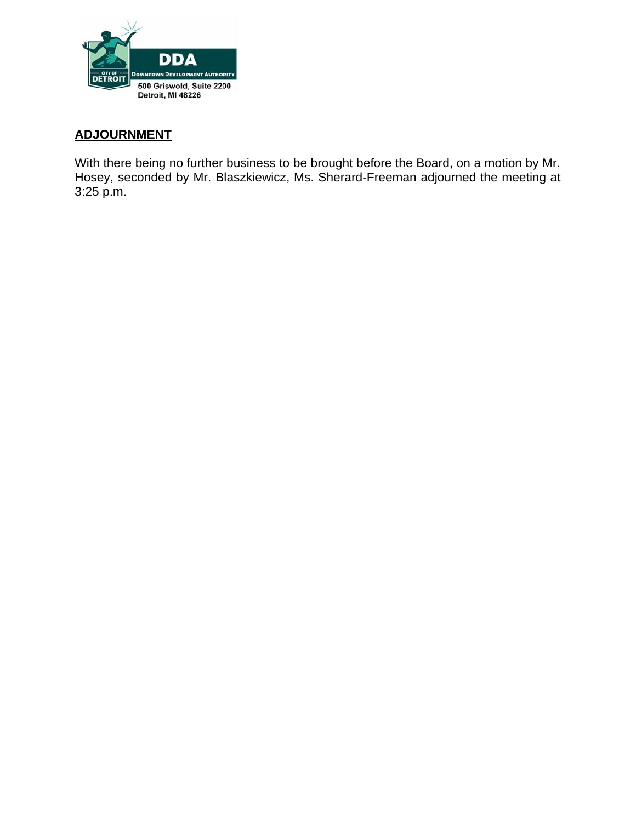

# **ADJOURNMENT**

With there being no further business to be brought before the Board, on a motion by Mr. Hosey, seconded by Mr. Blaszkiewicz, Ms. Sherard-Freeman adjourned the meeting at 3:25 p.m.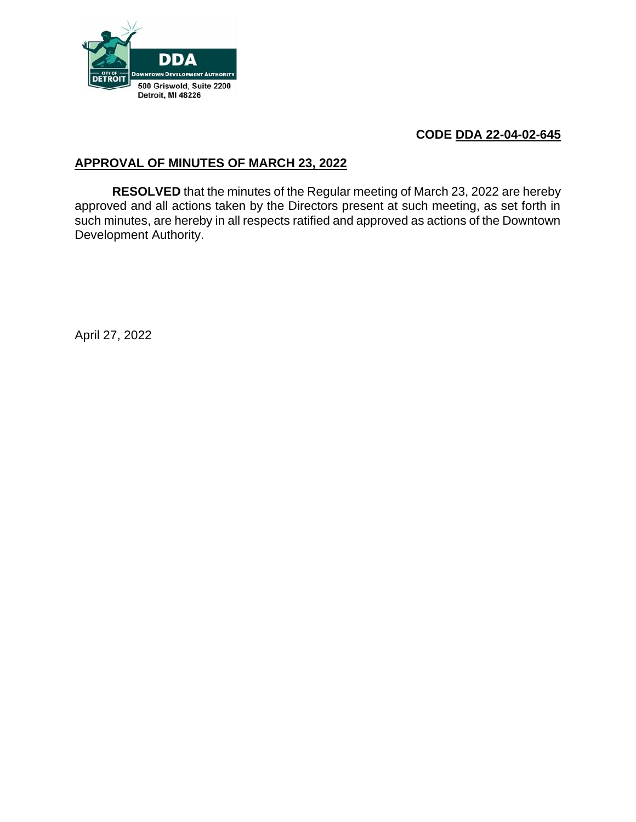

# **CODE DDA 22-04-02-645**

# **APPROVAL OF MINUTES OF MARCH 23, 2022**

**RESOLVED** that the minutes of the Regular meeting of March 23, 2022 are hereby approved and all actions taken by the Directors present at such meeting, as set forth in such minutes, are hereby in all respects ratified and approved as actions of the Downtown Development Authority.

April 27, 2022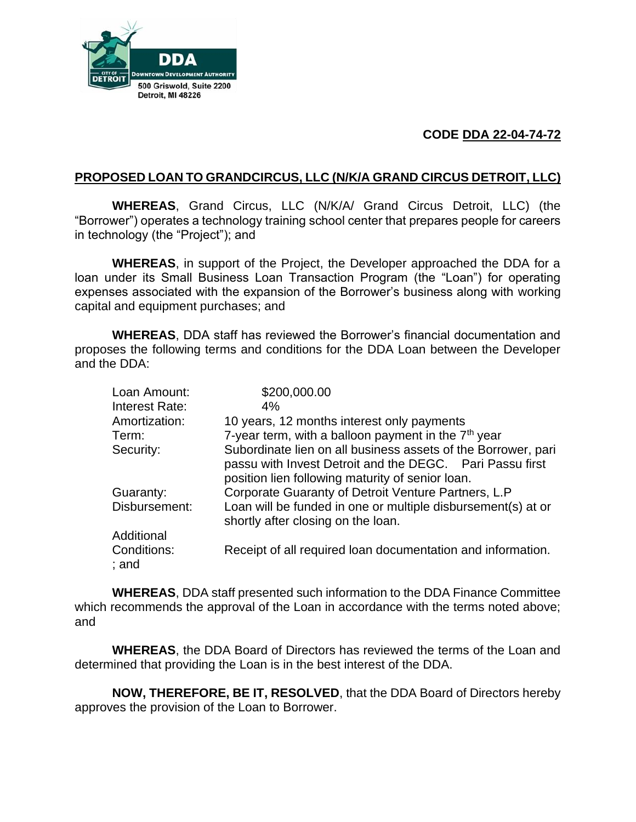

# **CODE DDA 22-04-74-72**

# **PROPOSED LOAN TO GRANDCIRCUS, LLC (N/K/A GRAND CIRCUS DETROIT, LLC)**

**WHEREAS**, Grand Circus, LLC (N/K/A/ Grand Circus Detroit, LLC) (the "Borrower") operates a technology training school center that prepares people for careers in technology (the "Project"); and

**WHEREAS**, in support of the Project, the Developer approached the DDA for a loan under its Small Business Loan Transaction Program (the "Loan") for operating expenses associated with the expansion of the Borrower's business along with working capital and equipment purchases; and

**WHEREAS**, DDA staff has reviewed the Borrower's financial documentation and proposes the following terms and conditions for the DDA Loan between the Developer and the DDA:

| Loan Amount:         | \$200,000.00                                                                                       |
|----------------------|----------------------------------------------------------------------------------------------------|
| Interest Rate:       | 4%                                                                                                 |
| Amortization:        | 10 years, 12 months interest only payments                                                         |
| Term:                | 7-year term, with a balloon payment in the 7 <sup>th</sup> year                                    |
| Security:            | Subordinate lien on all business assets of the Borrower, pari                                      |
|                      | passu with Invest Detroit and the DEGC. Pari Passu first                                           |
|                      | position lien following maturity of senior loan.                                                   |
| Guaranty:            | Corporate Guaranty of Detroit Venture Partners, L.P                                                |
| Disbursement:        | Loan will be funded in one or multiple disbursement(s) at or<br>shortly after closing on the loan. |
| Additional           |                                                                                                    |
| Conditions:<br>; and | Receipt of all required loan documentation and information.                                        |

**WHEREAS**, DDA staff presented such information to the DDA Finance Committee which recommends the approval of the Loan in accordance with the terms noted above; and

**WHEREAS**, the DDA Board of Directors has reviewed the terms of the Loan and determined that providing the Loan is in the best interest of the DDA.

**NOW, THEREFORE, BE IT, RESOLVED**, that the DDA Board of Directors hereby approves the provision of the Loan to Borrower.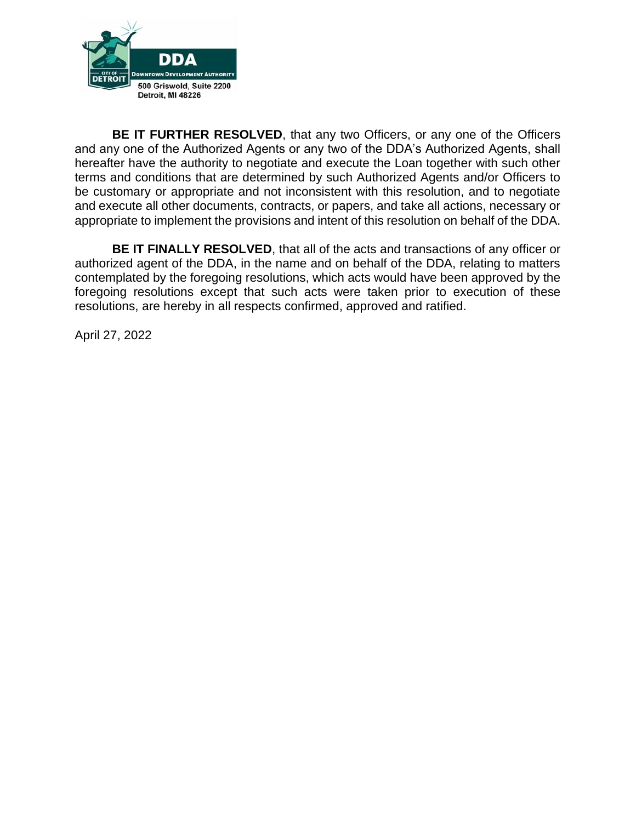

**BE IT FURTHER RESOLVED**, that any two Officers, or any one of the Officers and any one of the Authorized Agents or any two of the DDA's Authorized Agents, shall hereafter have the authority to negotiate and execute the Loan together with such other terms and conditions that are determined by such Authorized Agents and/or Officers to be customary or appropriate and not inconsistent with this resolution, and to negotiate and execute all other documents, contracts, or papers, and take all actions, necessary or appropriate to implement the provisions and intent of this resolution on behalf of the DDA.

**BE IT FINALLY RESOLVED**, that all of the acts and transactions of any officer or authorized agent of the DDA, in the name and on behalf of the DDA, relating to matters contemplated by the foregoing resolutions, which acts would have been approved by the foregoing resolutions except that such acts were taken prior to execution of these resolutions, are hereby in all respects confirmed, approved and ratified.

April 27, 2022